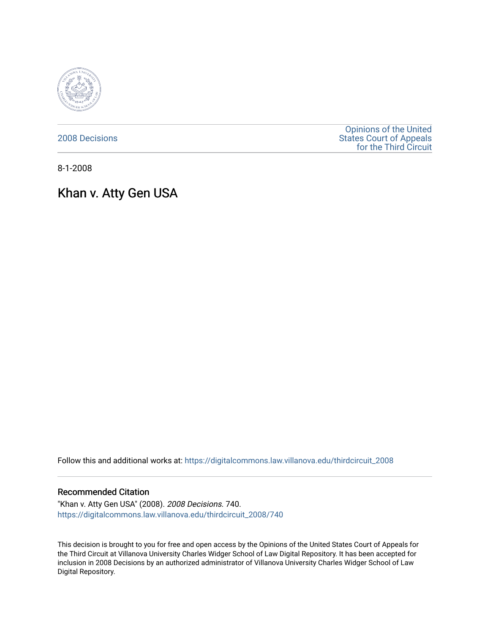

[2008 Decisions](https://digitalcommons.law.villanova.edu/thirdcircuit_2008)

[Opinions of the United](https://digitalcommons.law.villanova.edu/thirdcircuit)  [States Court of Appeals](https://digitalcommons.law.villanova.edu/thirdcircuit)  [for the Third Circuit](https://digitalcommons.law.villanova.edu/thirdcircuit) 

8-1-2008

# Khan v. Atty Gen USA

Follow this and additional works at: [https://digitalcommons.law.villanova.edu/thirdcircuit\\_2008](https://digitalcommons.law.villanova.edu/thirdcircuit_2008?utm_source=digitalcommons.law.villanova.edu%2Fthirdcircuit_2008%2F740&utm_medium=PDF&utm_campaign=PDFCoverPages) 

#### Recommended Citation

"Khan v. Atty Gen USA" (2008). 2008 Decisions. 740. [https://digitalcommons.law.villanova.edu/thirdcircuit\\_2008/740](https://digitalcommons.law.villanova.edu/thirdcircuit_2008/740?utm_source=digitalcommons.law.villanova.edu%2Fthirdcircuit_2008%2F740&utm_medium=PDF&utm_campaign=PDFCoverPages)

This decision is brought to you for free and open access by the Opinions of the United States Court of Appeals for the Third Circuit at Villanova University Charles Widger School of Law Digital Repository. It has been accepted for inclusion in 2008 Decisions by an authorized administrator of Villanova University Charles Widger School of Law Digital Repository.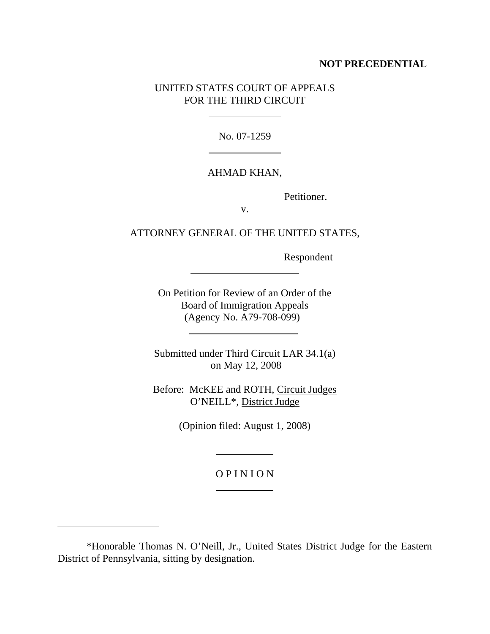### **NOT PRECEDENTIAL**

# UNITED STATES COURT OF APPEALS FOR THE THIRD CIRCUIT

l

 $\ddot{\phantom{a}}$ 

No. 07-1259

# AHMAD KHAN,

Petitioner.

v.

# ATTORNEY GENERAL OF THE UNITED STATES,

Respondent

On Petition for Review of an Order of the Board of Immigration Appeals (Agency No. A79-708-099)

Submitted under Third Circuit LAR 34.1(a) on May 12, 2008

Before: McKEE and ROTH, Circuit Judges O'NEILL\*, District Judge

(Opinion filed: August 1, 2008)

## O P I N I O N

 $\overline{a}$ 

 $\overline{a}$ 

l

<sup>\*</sup>Honorable Thomas N. O'Neill, Jr., United States District Judge for the Eastern District of Pennsylvania, sitting by designation.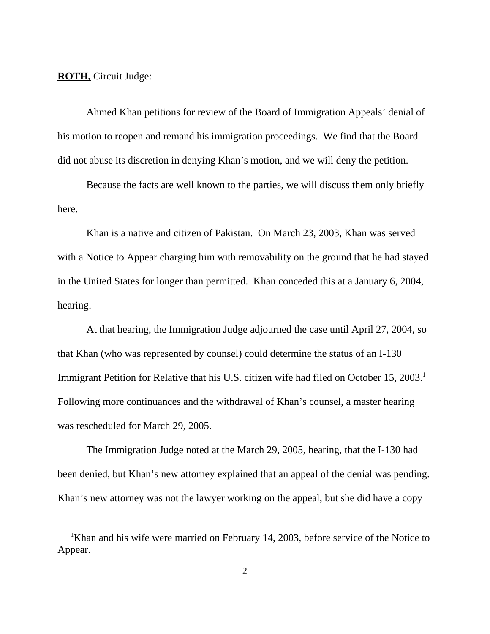**ROTH,** Circuit Judge:

Ahmed Khan petitions for review of the Board of Immigration Appeals' denial of his motion to reopen and remand his immigration proceedings. We find that the Board did not abuse its discretion in denying Khan's motion, and we will deny the petition.

Because the facts are well known to the parties, we will discuss them only briefly here.

Khan is a native and citizen of Pakistan. On March 23, 2003, Khan was served with a Notice to Appear charging him with removability on the ground that he had stayed in the United States for longer than permitted. Khan conceded this at a January 6, 2004, hearing.

At that hearing, the Immigration Judge adjourned the case until April 27, 2004, so that Khan (who was represented by counsel) could determine the status of an I-130 Immigrant Petition for Relative that his U.S. citizen wife had filed on October 15, 2003.<sup>1</sup> Following more continuances and the withdrawal of Khan's counsel, a master hearing was rescheduled for March 29, 2005.

The Immigration Judge noted at the March 29, 2005, hearing, that the I-130 had been denied, but Khan's new attorney explained that an appeal of the denial was pending. Khan's new attorney was not the lawyer working on the appeal, but she did have a copy

<sup>&</sup>lt;sup>1</sup>Khan and his wife were married on February 14, 2003, before service of the Notice to Appear.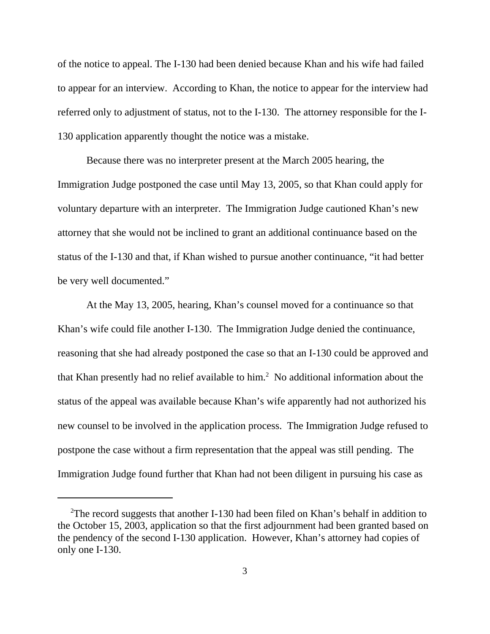of the notice to appeal. The I-130 had been denied because Khan and his wife had failed to appear for an interview. According to Khan, the notice to appear for the interview had referred only to adjustment of status, not to the I-130. The attorney responsible for the I-130 application apparently thought the notice was a mistake.

Because there was no interpreter present at the March 2005 hearing, the Immigration Judge postponed the case until May 13, 2005, so that Khan could apply for voluntary departure with an interpreter. The Immigration Judge cautioned Khan's new attorney that she would not be inclined to grant an additional continuance based on the status of the I-130 and that, if Khan wished to pursue another continuance, "it had better be very well documented."

At the May 13, 2005, hearing, Khan's counsel moved for a continuance so that Khan's wife could file another I-130. The Immigration Judge denied the continuance, reasoning that she had already postponed the case so that an I-130 could be approved and that Khan presently had no relief available to him.<sup>2</sup> No additional information about the status of the appeal was available because Khan's wife apparently had not authorized his new counsel to be involved in the application process. The Immigration Judge refused to postpone the case without a firm representation that the appeal was still pending. The Immigration Judge found further that Khan had not been diligent in pursuing his case as

<sup>&</sup>lt;sup>2</sup>The record suggests that another I-130 had been filed on Khan's behalf in addition to the October 15, 2003, application so that the first adjournment had been granted based on the pendency of the second I-130 application. However, Khan's attorney had copies of only one I-130.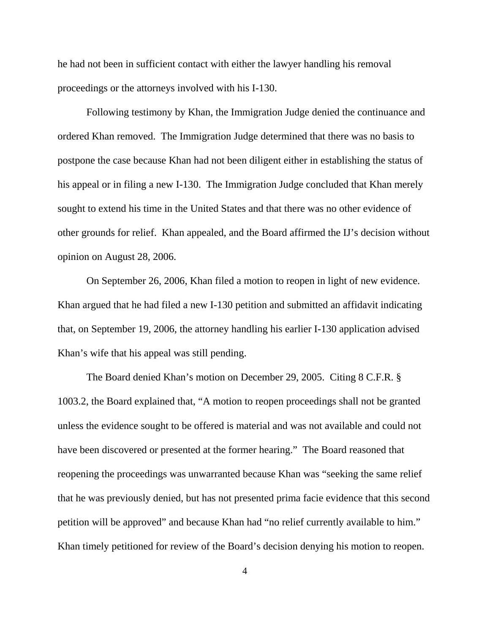he had not been in sufficient contact with either the lawyer handling his removal proceedings or the attorneys involved with his I-130.

Following testimony by Khan, the Immigration Judge denied the continuance and ordered Khan removed. The Immigration Judge determined that there was no basis to postpone the case because Khan had not been diligent either in establishing the status of his appeal or in filing a new I-130. The Immigration Judge concluded that Khan merely sought to extend his time in the United States and that there was no other evidence of other grounds for relief. Khan appealed, and the Board affirmed the IJ's decision without opinion on August 28, 2006.

On September 26, 2006, Khan filed a motion to reopen in light of new evidence. Khan argued that he had filed a new I-130 petition and submitted an affidavit indicating that, on September 19, 2006, the attorney handling his earlier I-130 application advised Khan's wife that his appeal was still pending.

The Board denied Khan's motion on December 29, 2005. Citing 8 C.F.R. § 1003.2, the Board explained that, "A motion to reopen proceedings shall not be granted unless the evidence sought to be offered is material and was not available and could not have been discovered or presented at the former hearing." The Board reasoned that reopening the proceedings was unwarranted because Khan was "seeking the same relief that he was previously denied, but has not presented prima facie evidence that this second petition will be approved" and because Khan had "no relief currently available to him." Khan timely petitioned for review of the Board's decision denying his motion to reopen.